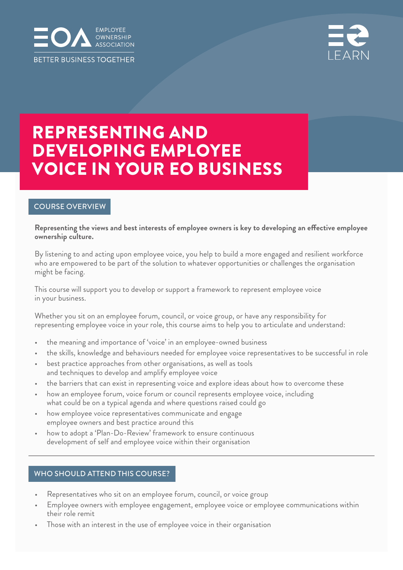



# REPRESENTING AND DEVELOPING EMPLOYEE VOICE IN YOUR EO BUSINESS

#### COURSE OVERVIEW

#### **Representing the views and best interests of employee owners is key to developing an effective employee ownership culture.**

By listening to and acting upon employee voice, you help to build a more engaged and resilient workforce who are empowered to be part of the solution to whatever opportunities or challenges the organisation might be facing.

This course will support you to develop or support a framework to represent employee voice in your business.

Whether you sit on an employee forum, council, or voice group, or have any responsibility for representing employee voice in your role, this course aims to help you to articulate and understand:

- the meaning and importance of 'voice' in an employee-owned business
- the skills, knowledge and behaviours needed for employee voice representatives to be successful in role
- best practice approaches from other organisations, as well as tools and techniques to develop and amplify employee voice
- the barriers that can exist in representing voice and explore ideas about how to overcome these
- how an employee forum, voice forum or council represents employee voice, including what could be on a typical agenda and where questions raised could go
- how employee voice representatives communicate and engage employee owners and best practice around this
- how to adopt a 'Plan-Do-Review' framework to ensure continuous development of self and employee voice within their organisation

#### WHO SHOULD ATTEND THIS COURSE?

- Representatives who sit on an employee forum, council, or voice group
- Employee owners with employee engagement, employee voice or employee communications within their role remit
- Those with an interest in the use of employee voice in their organisation